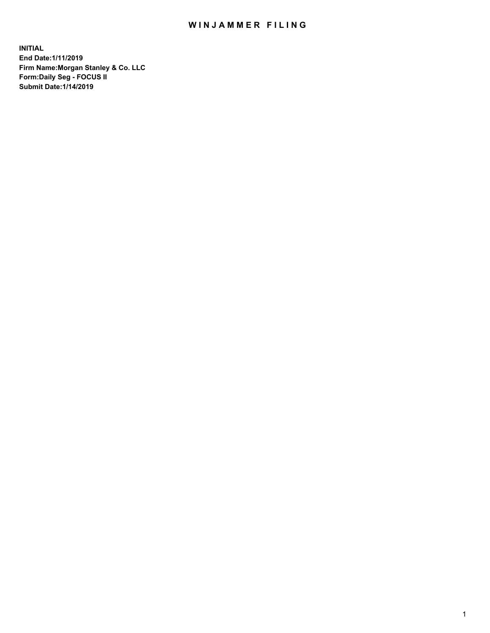## WIN JAMMER FILING

**INITIAL End Date:1/11/2019 Firm Name:Morgan Stanley & Co. LLC Form:Daily Seg - FOCUS II Submit Date:1/14/2019**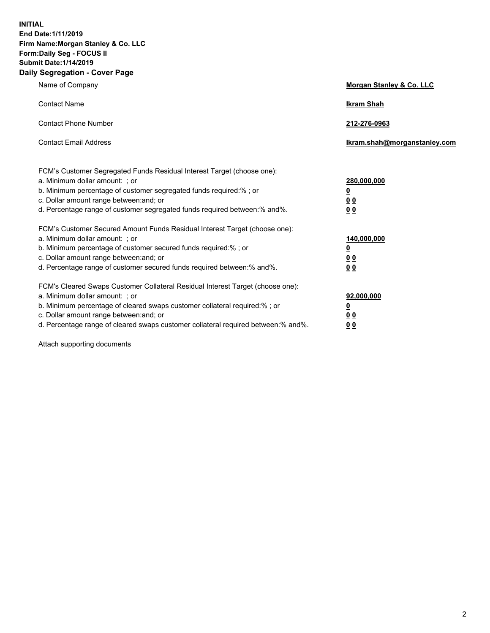**INITIAL End Date:1/11/2019 Firm Name:Morgan Stanley & Co. LLC Form:Daily Seg - FOCUS II Submit Date:1/14/2019 Daily Segregation - Cover Page**

| Name of Company                                                                                                                                                                                                                                                                                                                | Morgan Stanley & Co. LLC                               |
|--------------------------------------------------------------------------------------------------------------------------------------------------------------------------------------------------------------------------------------------------------------------------------------------------------------------------------|--------------------------------------------------------|
| <b>Contact Name</b>                                                                                                                                                                                                                                                                                                            | <b>Ikram Shah</b>                                      |
| <b>Contact Phone Number</b>                                                                                                                                                                                                                                                                                                    | 212-276-0963                                           |
| <b>Contact Email Address</b>                                                                                                                                                                                                                                                                                                   | Ikram.shah@morganstanley.com                           |
| FCM's Customer Segregated Funds Residual Interest Target (choose one):<br>a. Minimum dollar amount: ; or<br>b. Minimum percentage of customer segregated funds required:% ; or<br>c. Dollar amount range between: and; or<br>d. Percentage range of customer segregated funds required between:% and%.                         | 280,000,000<br><u>0</u><br><u>0 0</u><br>0 Q           |
| FCM's Customer Secured Amount Funds Residual Interest Target (choose one):<br>a. Minimum dollar amount: ; or<br>b. Minimum percentage of customer secured funds required:%; or<br>c. Dollar amount range between: and; or<br>d. Percentage range of customer secured funds required between:% and%.                            | 140,000,000<br><u>0</u><br><u>00</u><br>0 <sub>0</sub> |
| FCM's Cleared Swaps Customer Collateral Residual Interest Target (choose one):<br>a. Minimum dollar amount: ; or<br>b. Minimum percentage of cleared swaps customer collateral required:% ; or<br>c. Dollar amount range between: and; or<br>d. Percentage range of cleared swaps customer collateral required between:% and%. | 92,000,000<br><u>0</u><br><u>00</u><br>0 <sub>0</sub>  |

Attach supporting documents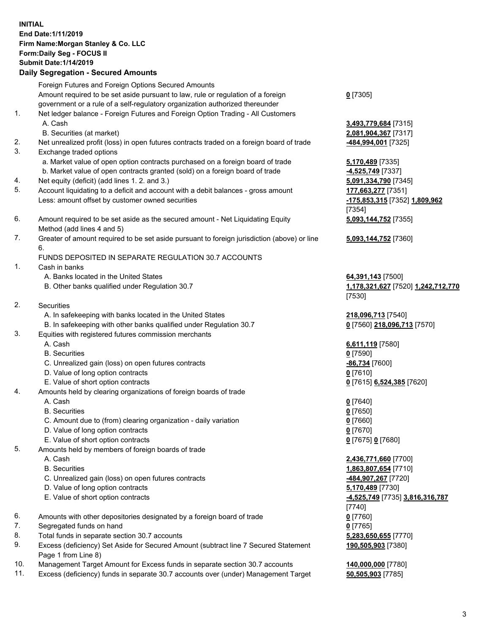## **INITIAL End Date:1/11/2019 Firm Name:Morgan Stanley & Co. LLC Form:Daily Seg - FOCUS II Submit Date:1/14/2019**

## **Daily Segregation - Secured Amounts**

Foreign Futures and Foreign Options Secured Amounts Amount required to be set aside pursuant to law, rule or regulation of a foreign government or a rule of a self-regulatory organization authorized thereunder 1. Net ledger balance - Foreign Futures and Foreign Option Trading - All Customers A. Cash **3,493,779,684** [7315] B. Securities (at market) **2,081,904,367** [7317]

- 2. Net unrealized profit (loss) in open futures contracts traded on a foreign board of trade **-484,994,001** [7325]
- 3. Exchange traded options
	- a. Market value of open option contracts purchased on a foreign board of trade **5,170,489** [7335]
	- b. Market value of open contracts granted (sold) on a foreign board of trade **-4,525,749** [7337]
- 4. Net equity (deficit) (add lines 1. 2. and 3.) **5,091,334,790** [7345]
- 5. Account liquidating to a deficit and account with a debit balances gross amount **177,663,277** [7351] Less: amount offset by customer owned securities **-175,853,315** [7352] **1,809,962**
- 6. Amount required to be set aside as the secured amount Net Liquidating Equity Method (add lines 4 and 5)
- 7. Greater of amount required to be set aside pursuant to foreign jurisdiction (above) or line 6.

## FUNDS DEPOSITED IN SEPARATE REGULATION 30.7 ACCOUNTS

- 1. Cash in banks
	- A. Banks located in the United States **64,391,143** [7500]
	- B. Other banks qualified under Regulation 30.7 **1,178,321,627** [7520] **1,242,712,770**
- 2. Securities
	- A. In safekeeping with banks located in the United States **218,096,713** [7540]
	- B. In safekeeping with other banks qualified under Regulation 30.7 **0** [7560] **218,096,713** [7570]
- 3. Equities with registered futures commission merchants
	-
	- B. Securities **0** [7590]
	- C. Unrealized gain (loss) on open futures contracts **-86,734** [7600]
	- D. Value of long option contracts **0** [7610]
	- E. Value of short option contracts **0** [7615] **6,524,385** [7620]
- 4. Amounts held by clearing organizations of foreign boards of trade
	- A. Cash **0** [7640]
	- B. Securities **0** [7650]
	- C. Amount due to (from) clearing organization daily variation **0** [7660]
	- D. Value of long option contracts **0** [7670]
	- E. Value of short option contracts **0** [7675] **0** [7680]
- 5. Amounts held by members of foreign boards of trade
	-
	-
	- C. Unrealized gain (loss) on open futures contracts **-484,907,267** [7720]
	- D. Value of long option contracts **5,170,489** [7730]
	- E. Value of short option contracts **-4,525,749** [7735] **3,816,316,787**
- 6. Amounts with other depositories designated by a foreign board of trade **0** [7760]
- 7. Segregated funds on hand **0** [7765]
- 8. Total funds in separate section 30.7 accounts **5,283,650,655** [7770]
- 9. Excess (deficiency) Set Aside for Secured Amount (subtract line 7 Secured Statement Page 1 from Line 8)
- 10. Management Target Amount for Excess funds in separate section 30.7 accounts **140,000,000** [7780]
- 11. Excess (deficiency) funds in separate 30.7 accounts over (under) Management Target **50,505,903** [7785]

**0** [7305]

[7354] **5,093,144,752** [7355]

**5,093,144,752** [7360]

[7530]

A. Cash **6,611,119** [7580]

 A. Cash **2,436,771,660** [7700] B. Securities **1,863,807,654** [7710] [7740] **190,505,903** [7380]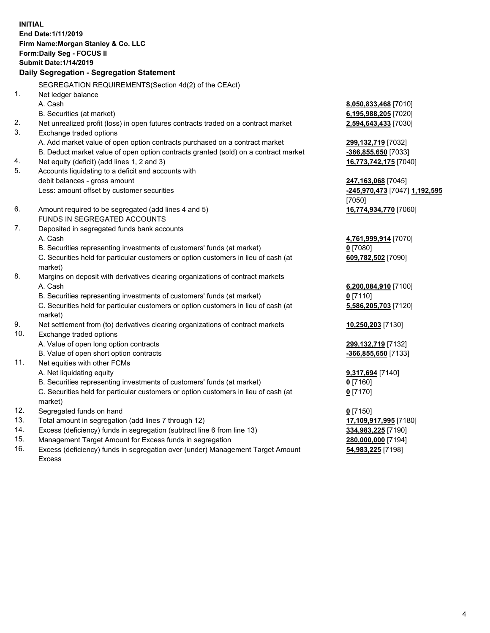**INITIAL End Date:1/11/2019 Firm Name:Morgan Stanley & Co. LLC Form:Daily Seg - FOCUS II Submit Date:1/14/2019 Daily Segregation - Segregation Statement** SEGREGATION REQUIREMENTS(Section 4d(2) of the CEAct) 1. Net ledger balance A. Cash **8,050,833,468** [7010] B. Securities (at market) **6,195,988,205** [7020] 2. Net unrealized profit (loss) in open futures contracts traded on a contract market **2,594,643,433** [7030] 3. Exchange traded options A. Add market value of open option contracts purchased on a contract market **299,132,719** [7032] B. Deduct market value of open option contracts granted (sold) on a contract market **-366,855,650** [7033] 4. Net equity (deficit) (add lines 1, 2 and 3) **16,773,742,175** [7040] 5. Accounts liquidating to a deficit and accounts with debit balances - gross amount **247,163,068** [7045] Less: amount offset by customer securities **-245,970,473** [7047] **1,192,595** [7050] 6. Amount required to be segregated (add lines 4 and 5) **16,774,934,770** [7060] FUNDS IN SEGREGATED ACCOUNTS 7. Deposited in segregated funds bank accounts A. Cash **4,761,999,914** [7070] B. Securities representing investments of customers' funds (at market) **0** [7080] C. Securities held for particular customers or option customers in lieu of cash (at market) **609,782,502** [7090] 8. Margins on deposit with derivatives clearing organizations of contract markets A. Cash **6,200,084,910** [7100] B. Securities representing investments of customers' funds (at market) **0** [7110] C. Securities held for particular customers or option customers in lieu of cash (at market) **5,586,205,703** [7120] 9. Net settlement from (to) derivatives clearing organizations of contract markets **10,250,203** [7130] 10. Exchange traded options A. Value of open long option contracts **299,132,719** [7132] B. Value of open short option contracts **-366,855,650** [7133] 11. Net equities with other FCMs A. Net liquidating equity **9,317,694** [7140] B. Securities representing investments of customers' funds (at market) **0** [7160] C. Securities held for particular customers or option customers in lieu of cash (at market) **0** [7170] 12. Segregated funds on hand **0** [7150] 13. Total amount in segregation (add lines 7 through 12) **17,109,917,995** [7180] 14. Excess (deficiency) funds in segregation (subtract line 6 from line 13) **334,983,225** [7190]

- 15. Management Target Amount for Excess funds in segregation **280,000,000** [7194]
- 16. Excess (deficiency) funds in segregation over (under) Management Target Amount Excess

**54,983,225** [7198]